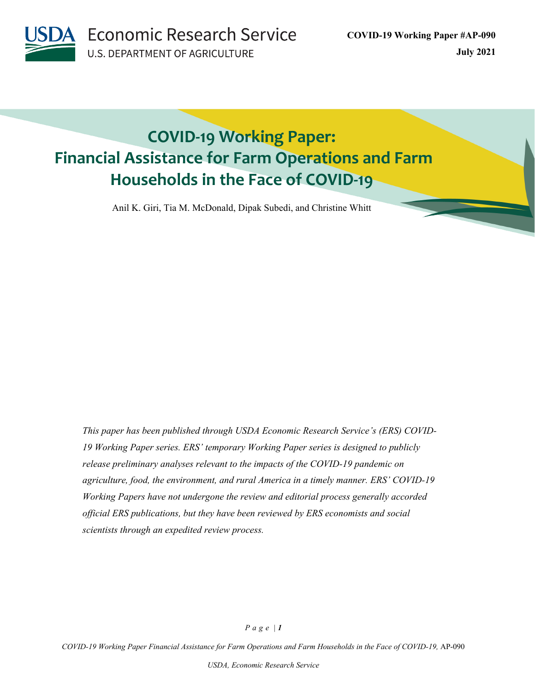**Economic Research Service U.S. DEPARTMENT OF AGRICULTURE** 

# **COVID-19 Working Paper: Financial Assistance for Farm Operations and Farm Households in the Face of COVID-19**

Anil K. Giri, Tia M. McDonald, Dipak Subedi, and Christine Whitt

*This paper has been published through USDA Economic Research Service's (ERS) COVID-19 Working Paper series. ERS' temporary Working Paper series is designed to publicly release preliminary analyses relevant to the impacts of the COVID-19 pandemic on agriculture, food, the environment, and rural America in a timely manner. ERS' COVID-19 Working Papers have not undergone the review and editorial process generally accorded official ERS publications, but they have been reviewed by ERS economists and social scientists through an expedited review process.*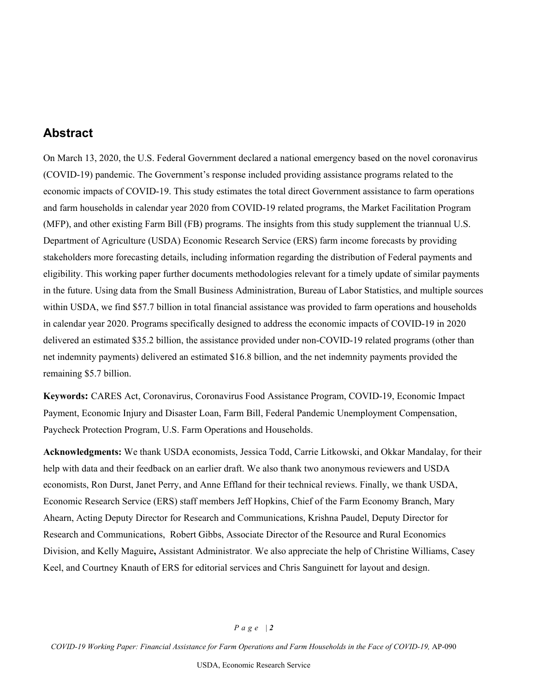## **Abstract**

On March 13, 2020, the U.S. Federal Government declared a national emergency based on the novel coronavirus (COVID-19) pandemic. The Government's response included providing assistance programs related to the economic impacts of COVID-19. This study estimates the total direct Government assistance to farm operations and farm households in calendar year 2020 from COVID-19 related programs, the Market Facilitation Program (MFP), and other existing Farm Bill (FB) programs. The insights from this study supplement the triannual U.S. Department of Agriculture (USDA) Economic Research Service (ERS) farm income forecasts by providing stakeholders more forecasting details, including information regarding the distribution of Federal payments and eligibility. This working paper further documents methodologies relevant for a timely update of similar payments in the future. Using data from the Small Business Administration, Bureau of Labor Statistics, and multiple sources within USDA, we find \$57.7 billion in total financial assistance was provided to farm operations and households in calendar year 2020. Programs specifically designed to address the economic impacts of COVID-19 in 2020 delivered an estimated \$35.2 billion, the assistance provided under non-COVID-19 related programs (other than net indemnity payments) delivered an estimated \$16.8 billion, and the net indemnity payments provided the remaining \$5.7 billion.

**Keywords:** CARES Act, Coronavirus, Coronavirus Food Assistance Program, COVID-19, Economic Impact Payment, Economic Injury and Disaster Loan, Farm Bill, Federal Pandemic Unemployment Compensation, Paycheck Protection Program, U.S. Farm Operations and Households.

**Acknowledgments:** We thank USDA economists, Jessica Todd, Carrie Litkowski, and Okkar Mandalay, for their help with data and their feedback on an earlier draft. We also thank two anonymous reviewers and USDA economists, Ron Durst, Janet Perry, and Anne Effland for their technical reviews. Finally, we thank USDA, Economic Research Service (ERS) staff members Jeff Hopkins, Chief of the Farm Economy Branch, Mary Ahearn, Acting Deputy Director for Research and Communications, Krishna Paudel, Deputy Director for Research and Communications, Robert Gibbs, Associate Director of the Resource and Rural Economics Division, and Kelly Maguire**,** Assistant Administrator. We also appreciate the help of Christine Williams, Casey Keel, and Courtney Knauth of ERS for editorial services and Chris Sanguinett for layout and design.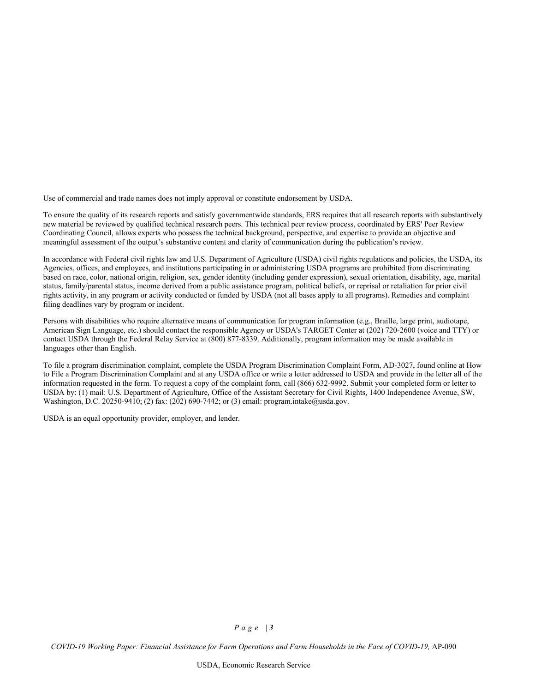Use of commercial and trade names does not imply approval or constitute endorsement by USDA.

To ensure the quality of its research reports and satisfy governmentwide standards, ERS requires that all research reports with substantively new material be reviewed by qualified technical research peers. This technical peer review process, coordinated by ERS' Peer Review Coordinating Council, allows experts who possess the technical background, perspective, and expertise to provide an objective and meaningful assessment of the output's substantive content and clarity of communication during the publication's review.

In accordance with Federal civil rights law and U.S. Department of Agriculture (USDA) civil rights regulations and policies, the USDA, its Agencies, offices, and employees, and institutions participating in or administering USDA programs are prohibited from discriminating based on race, color, national origin, religion, sex, gender identity (including gender expression), sexual orientation, disability, age, marital status, family/parental status, income derived from a public assistance program, political beliefs, or reprisal or retaliation for prior civil rights activity, in any program or activity conducted or funded by USDA (not all bases apply to all programs). Remedies and complaint filing deadlines vary by program or incident.

Persons with disabilities who require alternative means of communication for program information (e.g., Braille, large print, audiotape, American Sign Language, etc.) should contact the responsible Agency or USDA's TARGET Center at (202) 720-2600 (voice and TTY) or contact USDA through the Federal Relay Service at (800) 877-8339. Additionally, program information may be made available in languages other than English.

To file a program discrimination complaint, complete the USDA Program Discrimination Complaint Form, AD-3027, found online at How to File a Program Discrimination Complaint and at any USDA office or write a letter addressed to USDA and provide in the letter all of the information requested in the form. To request a copy of the complaint form, call (866) 632-9992. Submit your completed form or letter to USDA by: (1) mail: U.S. Department of Agriculture, Office of the Assistant Secretary for Civil Rights, 1400 Independence Avenue, SW, Washington, D.C. 20250-9410; (2) fax: (202) 690-7442; or (3) email: program.intake@usda.gov.

USDA is an equal opportunity provider, employer, and lender.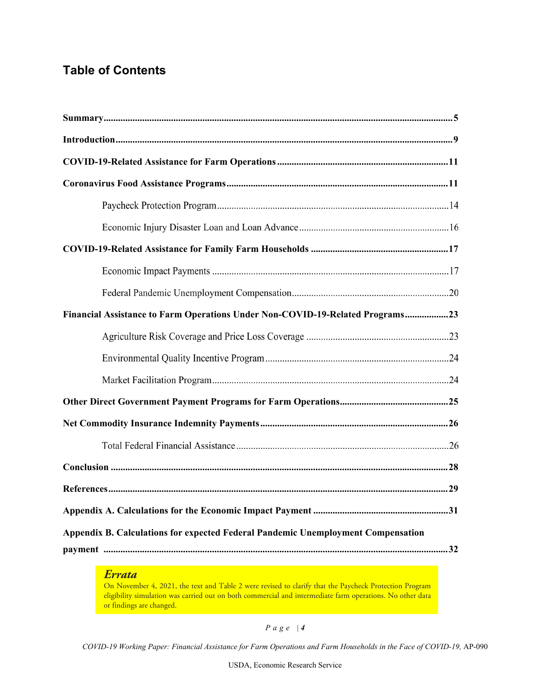# **Table of Contents**

| Financial Assistance to Farm Operations Under Non-COVID-19-Related Programs23    |
|----------------------------------------------------------------------------------|
|                                                                                  |
|                                                                                  |
|                                                                                  |
|                                                                                  |
|                                                                                  |
|                                                                                  |
|                                                                                  |
|                                                                                  |
|                                                                                  |
| Appendix B. Calculations for expected Federal Pandemic Unemployment Compensation |
|                                                                                  |

## *Errata*

On November 4, 2021, the text and Table 2 were revised to clarify that the Paycheck Protection Program eligibility simulation was carried out on both commercial and intermediate farm operations. No other data or findings are changed.

*Page | 4*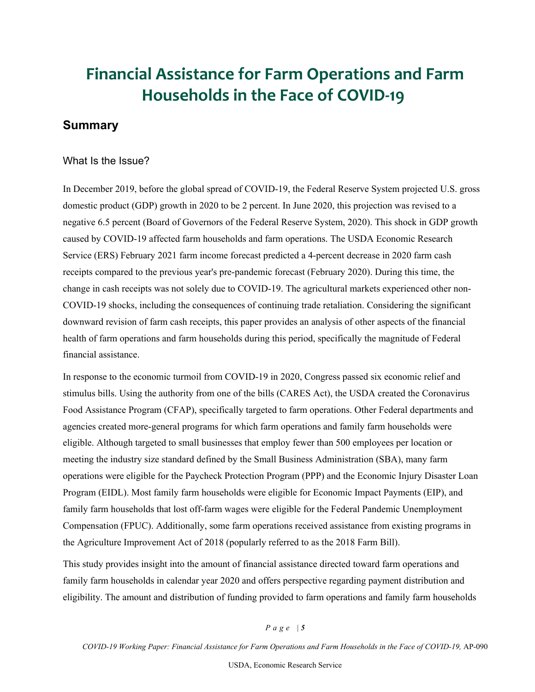# **Financial Assistance for Farm Operations and Farm Households in the Face of COVID-19**

## <span id="page-4-0"></span>**Summary**

#### What Is the Issue?

In December 2019, before the global spread of COVID-19, the Federal Reserve System projected U.S. gross domestic product (GDP) growth in 2020 to be 2 percent. In June 2020, this projection was revised to a negative 6.5 percent (Board of Governors of the Federal Reserve System, 2020). This shock in GDP growth caused by COVID-19 affected farm households and farm operations. The USDA Economic Research Service (ERS) February 2021 farm income forecast predicted a 4-percent decrease in 2020 farm cash receipts compared to the previous year's pre-pandemic forecast (February 2020). During this time, the change in cash receipts was not solely due to COVID-19. The agricultural markets experienced other non-COVID-19 shocks, including the consequences of continuing trade retaliation. Considering the significant downward revision of farm cash receipts, this paper provides an analysis of other aspects of the financial health of farm operations and farm households during this period, specifically the magnitude of Federal financial assistance.

In response to the economic turmoil from COVID-19 in 2020, Congress passed six economic relief and stimulus bills. Using the authority from one of the bills (CARES Act), the USDA created the Coronavirus Food Assistance Program (CFAP), specifically targeted to farm operations. Other Federal departments and agencies created more-general programs for which farm operations and family farm households were eligible. Although targeted to small businesses that employ fewer than 500 employees per location or meeting the industry size standard defined by the Small Business Administration (SBA), many farm operations were eligible for the Paycheck Protection Program (PPP) and the Economic Injury Disaster Loan Program (EIDL). Most family farm households were eligible for Economic Impact Payments (EIP), and family farm households that lost off-farm wages were eligible for the Federal Pandemic Unemployment Compensation (FPUC). Additionally, some farm operations received assistance from existing programs in the Agriculture Improvement Act of 2018 (popularly referred to as the 2018 Farm Bill).

This study provides insight into the amount of financial assistance directed toward farm operations and family farm households in calendar year 2020 and offers perspective regarding payment distribution and eligibility. The amount and distribution of funding provided to farm operations and family farm households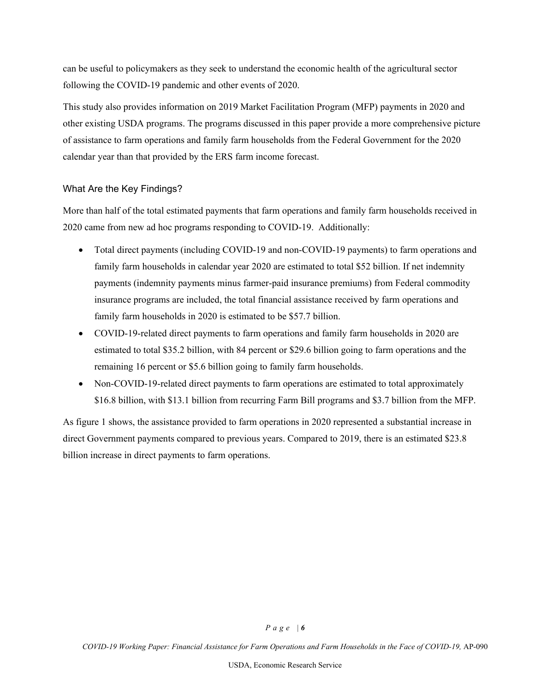can be useful to policymakers as they seek to understand the economic health of the agricultural sector following the COVID-19 pandemic and other events of 2020.

This study also provides information on 2019 Market Facilitation Program (MFP) payments in 2020 and other existing USDA programs. The programs discussed in this paper provide a more comprehensive picture of assistance to farm operations and family farm households from the Federal Government for the 2020 calendar year than that provided by the ERS farm income forecast.

#### What Are the Key Findings?

More than half of the total estimated payments that farm operations and family farm households received in 2020 came from new ad hoc programs responding to COVID-19. Additionally:

- Total direct payments (including COVID-19 and non-COVID-19 payments) to farm operations and family farm households in calendar year 2020 are estimated to total \$52 billion. If net indemnity payments (indemnity payments minus farmer-paid insurance premiums) from Federal commodity insurance programs are included, the total financial assistance received by farm operations and family farm households in 2020 is estimated to be \$57.7 billion.
- COVID-19-related direct payments to farm operations and family farm households in 2020 are estimated to total \$35.2 billion, with 84 percent or \$29.6 billion going to farm operations and the remaining 16 percent or \$5.6 billion going to family farm households.
- Non-COVID-19-related direct payments to farm operations are estimated to total approximately \$16.8 billion, with \$13.1 billion from recurring Farm Bill programs and \$3.7 billion from the MFP.

As figure 1 shows, the assistance provided to farm operations in 2020 represented a substantial increase in direct Government payments compared to previous years. Compared to 2019, there is an estimated \$23.8 billion increase in direct payments to farm operations.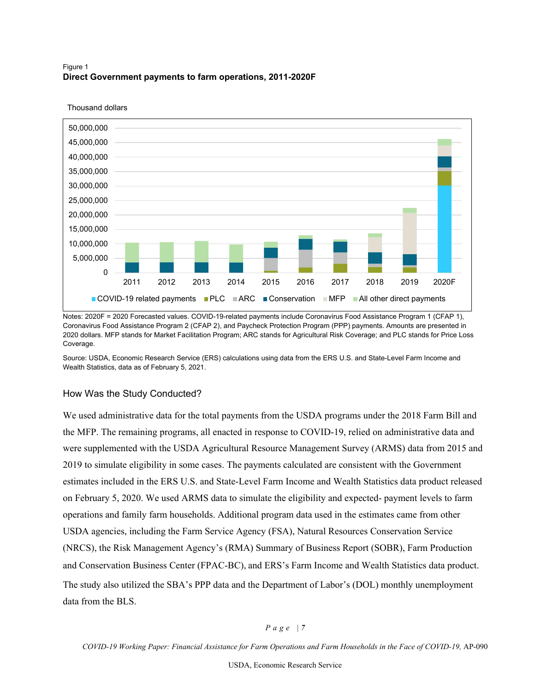#### Figure 1 **Direct Government payments to farm operations, 2011-2020F**



Thousand dollars

Notes: 2020F = 2020 Forecasted values. COVID-19-related payments include Coronavirus Food Assistance Program 1 (CFAP 1), Coronavirus Food Assistance Program 2 (CFAP 2), and Paycheck Protection Program (PPP) payments. Amounts are presented in 2020 dollars. MFP stands for Market Facilitation Program; ARC stands for Agricultural Risk Coverage; and PLC stands for Price Loss Coverage.

Source: USDA, Economic Research Service (ERS) calculations using data from the ERS U.S. and State-Level Farm Income and Wealth Statistics, data as of February 5, 2021.

#### How Was the Study Conducted?

We used administrative data for the total payments from the USDA programs under the 2018 Farm Bill and the MFP. The remaining programs, all enacted in response to COVID-19, relied on administrative data and were supplemented with the USDA Agricultural Resource Management Survey (ARMS) data from 2015 and 2019 to simulate eligibility in some cases. The payments calculated are consistent with the Government estimates included in the ERS U.S. and State-Level Farm Income and Wealth Statistics data product released on February 5, 2020. We used ARMS data to simulate the eligibility and expected- payment levels to farm operations and family farm households. Additional program data used in the estimates came from other USDA agencies, including the Farm Service Agency (FSA), Natural Resources Conservation Service (NRCS), the Risk Management Agency's (RMA) Summary of Business Report (SOBR), Farm Production and Conservation Business Center (FPAC-BC), and ERS's Farm Income and Wealth Statistics data product. The study also utilized the SBA's PPP data and the Department of Labor's (DOL) monthly unemployment data from the BLS.

#### *Page | 7*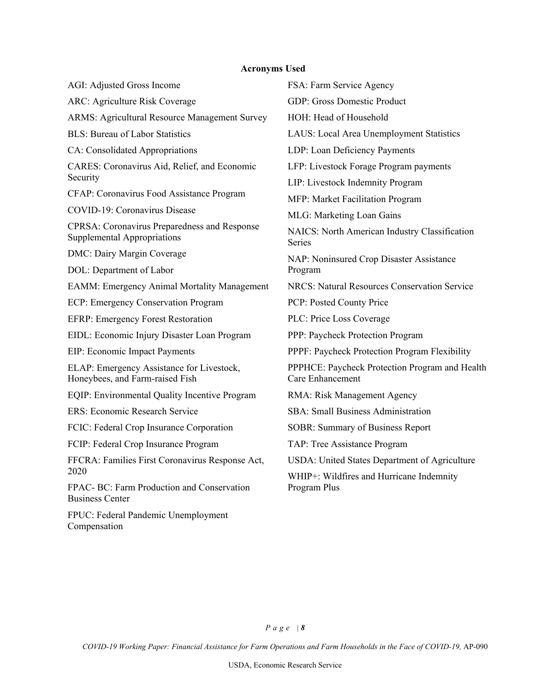## **Acronyms Used**

| AGI: Adjusted Gross Income                                                         | FSA: Farm Service Agency                                           |  |  |
|------------------------------------------------------------------------------------|--------------------------------------------------------------------|--|--|
| ARC: Agriculture Risk Coverage                                                     | GDP: Gross Domestic Product                                        |  |  |
| ARMS: Agricultural Resource Management Survey                                      | HOH: Head of Household                                             |  |  |
| <b>BLS: Bureau of Labor Statistics</b>                                             | LAUS: Local Area Unemployment Statistics                           |  |  |
| CA: Consolidated Appropriations                                                    | LDP: Loan Deficiency Payments                                      |  |  |
| CARES: Coronavirus Aid, Relief, and Economic                                       | LFP: Livestock Forage Program payments                             |  |  |
| Security                                                                           | LIP: Livestock Indemnity Program                                   |  |  |
| CFAP: Coronavirus Food Assistance Program                                          | MFP: Market Facilitation Program                                   |  |  |
| COVID-19: Coronavirus Disease                                                      | MLG: Marketing Loan Gains                                          |  |  |
| <b>CPRSA: Coronavirus Preparedness and Response</b><br>Supplemental Appropriations | NAICS: North American Industry Classification<br>Series            |  |  |
| <b>DMC: Dairy Margin Coverage</b>                                                  | NAP: Noninsured Crop Disaster Assistance                           |  |  |
| DOL: Department of Labor                                                           | Program                                                            |  |  |
| <b>EAMM: Emergency Animal Mortality Management</b>                                 | <b>NRCS: Natural Resources Conservation Service</b>                |  |  |
| ECP: Emergency Conservation Program                                                | PCP: Posted County Price                                           |  |  |
| <b>EFRP: Emergency Forest Restoration</b>                                          | PLC: Price Loss Coverage                                           |  |  |
| EIDL: Economic Injury Disaster Loan Program                                        | PPP: Paycheck Protection Program                                   |  |  |
| EIP: Economic Impact Payments                                                      | PPPF: Paycheck Protection Program Flexibility                      |  |  |
| ELAP: Emergency Assistance for Livestock,<br>Honeybees, and Farm-raised Fish       | PPPHCE: Paycheck Protection Program and Health<br>Care Enhancement |  |  |
| EQIP: Environmental Quality Incentive Program                                      | RMA: Risk Management Agency                                        |  |  |
| <b>ERS: Economic Research Service</b>                                              | <b>SBA: Small Business Administration</b>                          |  |  |
| FCIC: Federal Crop Insurance Corporation                                           | <b>SOBR: Summary of Business Report</b>                            |  |  |
| FCIP: Federal Crop Insurance Program                                               | TAP: Tree Assistance Program                                       |  |  |
| FFCRA: Families First Coronavirus Response Act,                                    | USDA: United States Department of Agriculture                      |  |  |
| 2020                                                                               | WHIP+: Wildfires and Hurricane Indemnity                           |  |  |
| FPAC- BC: Farm Production and Conservation<br><b>Business Center</b>               | Program Plus                                                       |  |  |
| FPUC: Federal Pandemic Unemployment                                                |                                                                    |  |  |

Compensation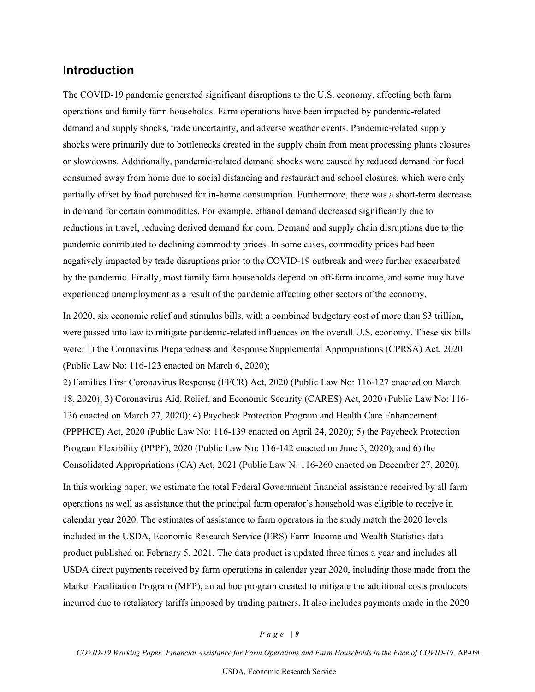## <span id="page-8-0"></span>**Introduction**

The COVID-19 pandemic generated significant disruptions to the U.S. economy, affecting both farm operations and family farm households. Farm operations have been impacted by pandemic-related demand and supply shocks, trade uncertainty, and adverse weather events. Pandemic-related supply shocks were primarily due to bottlenecks created in the supply chain from meat processing plants closures or slowdowns. Additionally, pandemic-related demand shocks were caused by reduced demand for food consumed away from home due to social distancing and restaurant and school closures, which were only partially offset by food purchased for in-home consumption. Furthermore, there was a short-term decrease in demand for certain commodities. For example, ethanol demand decreased significantly due to reductions in travel, reducing derived demand for corn. Demand and supply chain disruptions due to the pandemic contributed to declining commodity prices. In some cases, commodity prices had been negatively impacted by trade disruptions prior to the COVID-19 outbreak and were further exacerbated by the pandemic. Finally, most family farm households depend on off-farm income, and some may have experienced unemployment as a result of the pandemic affecting other sectors of the economy.

In 2020, six economic relief and stimulus bills, with a combined budgetary cost of more than \$3 trillion, were passed into law to mitigate pandemic-related influences on the overall U.S. economy. These six bills were: 1) the Coronavirus Preparedness and Response Supplemental Appropriations (CPRSA) Act, 2020 (Public Law No: 116-123 enacted on March 6, 2020);

2) Families First Coronavirus Response (FFCR) Act, 2020 (Public Law No: 116-127 enacted on March 18, 2020); 3) Coronavirus Aid, Relief, and Economic Security (CARES) Act, 2020 (Public Law No: 116- 136 enacted on March 27, 2020); 4) Paycheck Protection Program and Health Care Enhancement (PPPHCE) Act, 2020 (Public Law No: 116-139 enacted on April 24, 2020); 5) the Paycheck Protection Program Flexibility (PPPF), 2020 (Public Law No: 116-142 enacted on June 5, 2020); and 6) the Consolidated Appropriations (CA) Act, 2021 (Public Law N: 116-260 enacted on December 27, 2020).

In this working paper, we estimate the total Federal Government financial assistance received by all farm operations as well as assistance that the principal farm operator's household was eligible to receive in calendar year 2020. The estimates of assistance to farm operators in the study match the 2020 levels included in the USDA, Economic Research Service (ERS) Farm Income and Wealth Statistics data product published on February 5, 2021. The data product is updated three times a year and includes all USDA direct payments received by farm operations in calendar year 2020, including those made from the Market Facilitation Program (MFP), an ad hoc program created to mitigate the additional costs producers incurred due to retaliatory tariffs imposed by trading partners. It also includes payments made in the 2020

#### *Page | 9*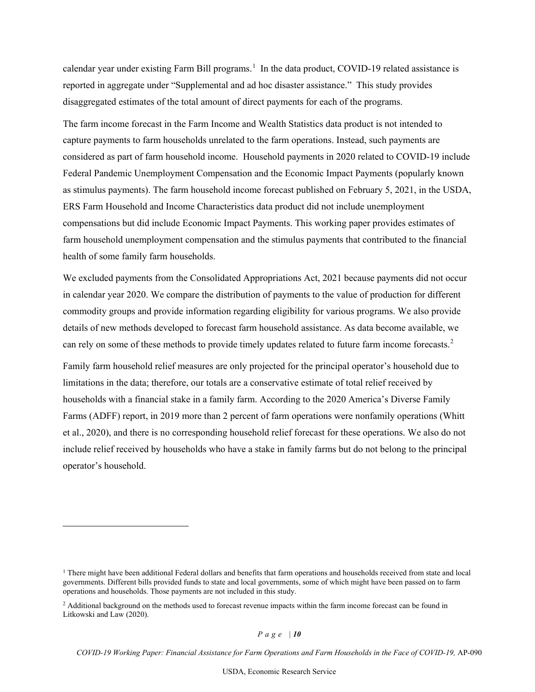calendar year under existing Farm Bill programs.<sup>[1](#page-9-0)</sup> In the data product, COVID-19 related assistance is reported in aggregate under "Supplemental and ad hoc disaster assistance." This study provides disaggregated estimates of the total amount of direct payments for each of the programs.

The farm income forecast in the Farm Income and Wealth Statistics data product is not intended to capture payments to farm households unrelated to the farm operations. Instead, such payments are considered as part of farm household income. Household payments in 2020 related to COVID-19 include Federal Pandemic Unemployment Compensation and the Economic Impact Payments (popularly known as stimulus payments). The farm household income forecast published on February 5, 2021, in the USDA, ERS Farm Household and Income Characteristics data product did not include unemployment compensations but did include Economic Impact Payments. This working paper provides estimates of farm household unemployment compensation and the stimulus payments that contributed to the financial health of some family farm households.

We excluded payments from the Consolidated Appropriations Act, 2021 because payments did not occur in calendar year 2020. We compare the distribution of payments to the value of production for different commodity groups and provide information regarding eligibility for various programs. We also provide details of new methods developed to forecast farm household assistance. As data become available, we can rely on some of these methods to provide timely updates related to future farm income forecasts.<sup>[2](#page-9-1)</sup>

Family farm household relief measures are only projected for the principal operator's household due to limitations in the data; therefore, our totals are a conservative estimate of total relief received by households with a financial stake in a family farm. According to the 2020 America's Diverse Family Farms (ADFF) report, in 2019 more than 2 percent of farm operations were nonfamily operations (Whitt et al., 2020), and there is no corresponding household relief forecast for these operations. We also do not include relief received by households who have a stake in family farms but do not belong to the principal operator's household.

<span id="page-9-0"></span><sup>&</sup>lt;sup>1</sup> There might have been additional Federal dollars and benefits that farm operations and households received from state and local governments. Different bills provided funds to state and local governments, some of which might have been passed on to farm operations and households. Those payments are not included in this study.

<span id="page-9-1"></span><sup>&</sup>lt;sup>2</sup> Additional background on the methods used to forecast revenue impacts within the farm income forecast can be found in Litkowski and Law (2020).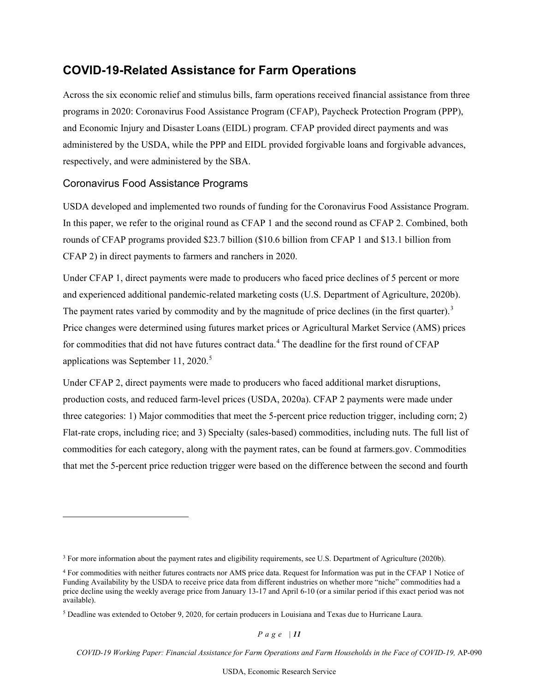# <span id="page-10-0"></span>**COVID-19-Related Assistance for Farm Operations**

Across the six economic relief and stimulus bills, farm operations received financial assistance from three programs in 2020: Coronavirus Food Assistance Program (CFAP), Paycheck Protection Program (PPP), and Economic Injury and Disaster Loans (EIDL) program. CFAP provided direct payments and was administered by the USDA, while the PPP and EIDL provided forgivable loans and forgivable advances, respectively, and were administered by the SBA.

#### <span id="page-10-1"></span>Coronavirus Food Assistance Programs

USDA developed and implemented two rounds of funding for the Coronavirus Food Assistance Program. In this paper, we refer to the original round as CFAP 1 and the second round as CFAP 2. Combined, both rounds of CFAP programs provided \$23.7 billion (\$10.6 billion from CFAP 1 and \$13.1 billion from CFAP 2) in direct payments to farmers and ranchers in 2020.

Under CFAP 1, direct payments were made to producers who faced price declines of 5 percent or more and experienced additional pandemic-related marketing costs (U.S. Department of Agriculture, 2020b). The payment rates varied by commodity and by the magnitude of price declines (in the first quarter).<sup>[3](#page-10-2)</sup> Price changes were determined using futures market prices or Agricultural Market Service (AMS) prices for commodities that did not have futures contract data.<sup>[4](#page-10-3)</sup> The deadline for the first round of CFAP applications was September 11, 2020. [5](#page-10-4)

Under CFAP 2, direct payments were made to producers who faced additional market disruptions, production costs, and reduced farm-level prices (USDA, 2020a). CFAP 2 payments were made under three categories: 1) Major commodities that meet the 5-percent price reduction trigger, including corn; 2) Flat-rate crops, including rice; and 3) Specialty (sales-based) commodities, including nuts. The full list of commodities for each category, along with the payment rates, can be found at farmers.gov. Commodities that met the 5-percent price reduction trigger were based on the difference between the second and fourth

*Page | 11* 

<span id="page-10-2"></span><sup>&</sup>lt;sup>3</sup> For more information about the payment rates and eligibility requirements, see U.S. Department of Agriculture (2020b).

<span id="page-10-3"></span><sup>4</sup> For commodities with neither futures contracts nor AMS price data. Request for Information was put in the CFAP 1 Notice of Funding Availability by the USDA to receive price data from different industries on whether more "niche" commodities had a price decline using the weekly average price from January 13-17 and April 6-10 (or a similar period if this exact period was not available).

<span id="page-10-4"></span><sup>5</sup> Deadline was extended to October 9, 2020, for certain producers in Louisiana and Texas due to Hurricane Laura.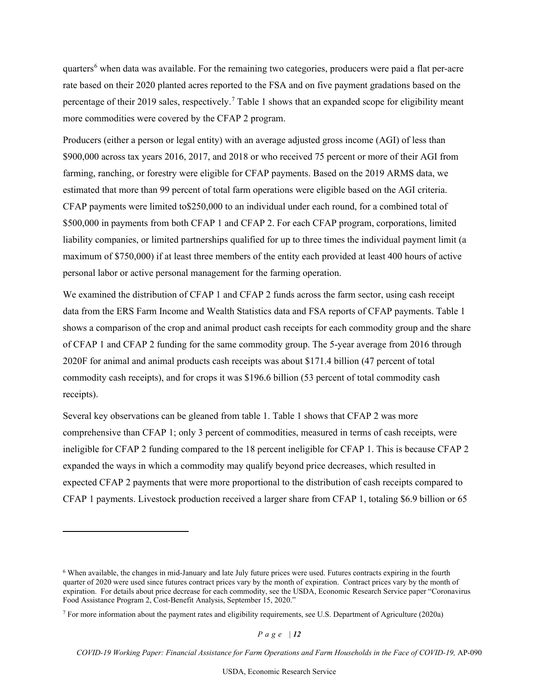quarters<sup>[6](#page-11-0)</sup> when data was available. For the remaining two categories, producers were paid a flat per-acre rate based on their 2020 planted acres reported to the FSA and on five payment gradations based on the percentage of their 2019 sales, respectively.<sup>[7](#page-11-1)</sup> Table 1 shows that an expanded scope for eligibility meant more commodities were covered by the CFAP 2 program.

Producers (either a person or legal entity) with an average adjusted gross income (AGI) of less than \$900,000 across tax years 2016, 2017, and 2018 or who received 75 percent or more of their AGI from farming, ranching, or forestry were eligible for CFAP payments. Based on the 2019 ARMS data, we estimated that more than 99 percent of total farm operations were eligible based on the AGI criteria. CFAP payments were limited to\$250,000 to an individual under each round, for a combined total of \$500,000 in payments from both CFAP 1 and CFAP 2. For each CFAP program, corporations, limited liability companies, or limited partnerships qualified for up to three times the individual payment limit (a maximum of \$750,000) if at least three members of the entity each provided at least 400 hours of active personal labor or active personal management for the farming operation.

We examined the distribution of CFAP 1 and CFAP 2 funds across the farm sector, using cash receipt data from the ERS Farm Income and Wealth Statistics data and FSA reports of CFAP payments. Table 1 shows a comparison of the crop and animal product cash receipts for each commodity group and the share of CFAP 1 and CFAP 2 funding for the same commodity group. The 5-year average from 2016 through 2020F for animal and animal products cash receipts was about \$171.4 billion (47 percent of total commodity cash receipts), and for crops it was \$196.6 billion (53 percent of total commodity cash receipts).

Several key observations can be gleaned from table 1. Table 1 shows that CFAP 2 was more comprehensive than CFAP 1; only 3 percent of commodities, measured in terms of cash receipts, were ineligible for CFAP 2 funding compared to the 18 percent ineligible for CFAP 1. This is because CFAP 2 expanded the ways in which a commodity may qualify beyond price decreases, which resulted in expected CFAP 2 payments that were more proportional to the distribution of cash receipts compared to CFAP 1 payments. Livestock production received a larger share from CFAP 1, totaling \$6.9 billion or 65

*Page | 12* 

<span id="page-11-0"></span><sup>6</sup> When available, the changes in mid-January and late July future prices were used. Futures contracts expiring in the fourth quarter of 2020 were used since futures contract prices vary by the month of expiration. Contract prices vary by the month of expiration. For details about price decrease for each commodity, see the USDA, Economic Research Service paper "Coronavirus Food Assistance Program 2, Cost-Benefit Analysis, September 15, 2020."

<span id="page-11-1"></span><sup>7</sup> For more information about the payment rates and eligibility requirements, see U.S. Department of Agriculture (2020a)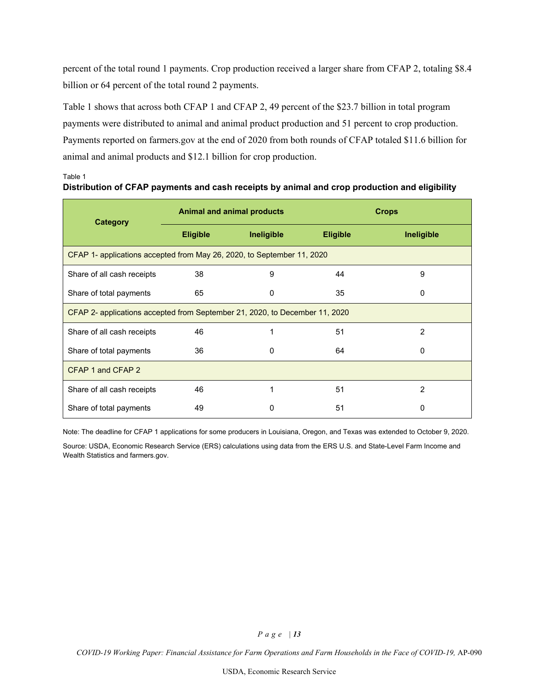percent of the total round 1 payments. Crop production received a larger share from CFAP 2, totaling \$8.4 billion or 64 percent of the total round 2 payments.

Table 1 shows that across both CFAP 1 and CFAP 2, 49 percent of the \$23.7 billion in total program payments were distributed to animal and animal product production and 51 percent to crop production. Payments reported on farmers.gov at the end of 2020 from both rounds of CFAP totaled \$11.6 billion for animal and animal products and \$12.1 billion for crop production.

| Category                                                                    | <b>Animal and animal products</b> |            | <b>Crops</b>    |                |
|-----------------------------------------------------------------------------|-----------------------------------|------------|-----------------|----------------|
|                                                                             | <b>Eligible</b>                   | Ineligible | <b>Eligible</b> | Ineligible     |
| CFAP 1- applications accepted from May 26, 2020, to September 11, 2020      |                                   |            |                 |                |
| Share of all cash receipts                                                  | 38                                | 9          | 44              | 9              |
| Share of total payments                                                     | 65                                | 0          | 35              | 0              |
| CFAP 2- applications accepted from September 21, 2020, to December 11, 2020 |                                   |            |                 |                |
| Share of all cash receipts                                                  | 46                                | 1          | 51              | 2              |
| Share of total payments                                                     | 36                                | 0          | 64              | 0              |
| CFAP 1 and CFAP 2                                                           |                                   |            |                 |                |
| Share of all cash receipts                                                  | 46                                |            | 51              | $\mathfrak{p}$ |
| Share of total payments                                                     | 49                                | O          | 51              | 0              |

#### **Distribution of CFAP payments and cash receipts by animal and crop production and eligibility**

Table 1

Note: The deadline for CFAP 1 applications for some producers in Louisiana, Oregon, and Texas was extended to October 9, 2020.

Source: USDA, Economic Research Service (ERS) calculations using data from the ERS U.S. and State-Level Farm Income and Wealth Statistics and farmers.gov.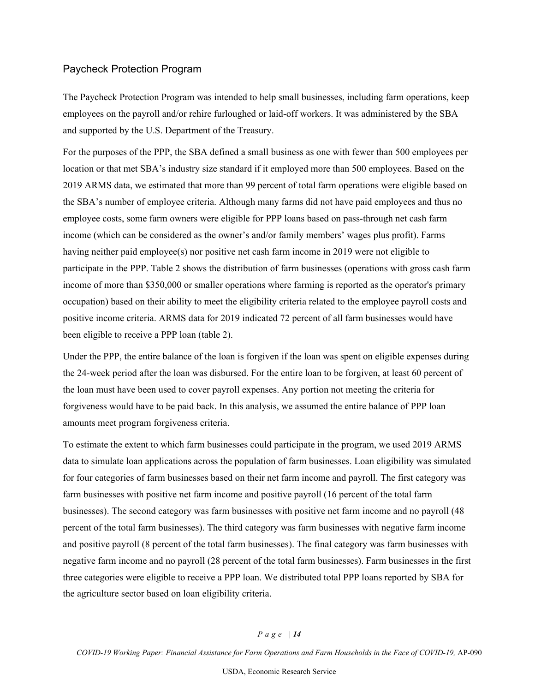#### Paycheck Protection Program

The Paycheck Protection Program was intended to help small businesses, including farm operations, keep employees on the payroll and/or rehire furloughed or laid-off workers. It was administered by the SBA and supported by the U.S. Department of the Treasury.

For the purposes of the PPP, the SBA defined a small business as one with fewer than 500 employees per location or that met SBA's industry size standard if it employed more than 500 employees. Based on the 2019 ARMS data, we estimated that more than 99 percent of total farm operations were eligible based on the SBA's number of employee criteria. Although many farms did not have paid employees and thus no employee costs, some farm owners were eligible for PPP loans based on pass-through net cash farm income (which can be considered as the owner's and/or family members' wages plus profit). Farms having neither paid employee(s) nor positive net cash farm income in 2019 were not eligible to participate in the PPP. Table 2 shows the distribution of farm businesses (operations with gross cash farm income of more than \$350,000 or smaller operations where farming is reported as the operator's primary occupation) based on their ability to meet the eligibility criteria related to the employee payroll costs and positive income criteria. ARMS data for 2019 indicated 72 percent of all farm businesses would have been eligible to receive a PPP loan (table 2).

Under the PPP, the entire balance of the loan is forgiven if the loan was spent on eligible expenses during the 24-week period after the loan was disbursed. For the entire loan to be forgiven, at least 60 percent of the loan must have been used to cover payroll expenses. Any portion not meeting the criteria for forgiveness would have to be paid back. In this analysis, we assumed the entire balance of PPP loan amounts meet program forgiveness criteria.

To estimate the extent to which farm businesses could participate in the program, we used 2019 ARMS data to simulate loan applications across the population of farm businesses. Loan eligibility was simulated for four categories of farm businesses based on their net farm income and payroll. The first category was farm businesses with positive net farm income and positive payroll (16 percent of the total farm businesses). The second category was farm businesses with positive net farm income and no payroll (48 percent of the total farm businesses). The third category was farm businesses with negative farm income and positive payroll (8 percent of the total farm businesses). The final category was farm businesses with negative farm income and no payroll (28 percent of the total farm businesses). Farm businesses in the first three categories were eligible to receive a PPP loan. We distributed total PPP loans reported by SBA for the agriculture sector based on loan eligibility criteria.

#### *Page | 14*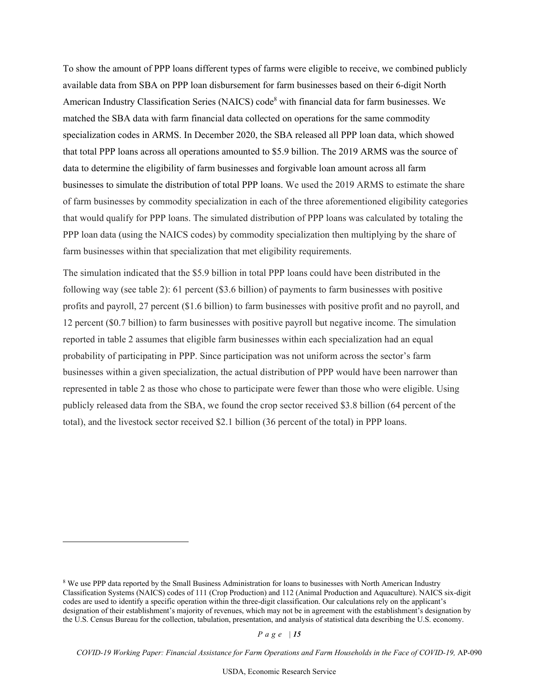To show the amount of PPP loans different types of farms were eligible to receive, we combined publicly available data from SBA on PPP loan disbursement for farm businesses based on their 6-digit North American Industry Classification Series (NAICS) code<sup>[8](#page-14-0)</sup> with financial data for farm businesses. We matched the SBA data with farm financial data collected on operations for the same commodity specialization codes in ARMS. In December 2020, the SBA released all PPP loan data, which showed that total PPP loans across all operations amounted to \$5.9 billion. The 2019 ARMS was the source of data to determine the eligibility of farm businesses and forgivable loan amount across all farm businesses to simulate the distribution of total PPP loans. We used the 2019 ARMS to estimate the share of farm businesses by commodity specialization in each of the three aforementioned eligibility categories that would qualify for PPP loans. The simulated distribution of PPP loans was calculated by totaling the PPP loan data (using the NAICS codes) by commodity specialization then multiplying by the share of farm businesses within that specialization that met eligibility requirements.

The simulation indicated that the \$5.9 billion in total PPP loans could have been distributed in the following way (see table 2): 61 percent (\$3.6 billion) of payments to farm businesses with positive profits and payroll, 27 percent (\$1.6 billion) to farm businesses with positive profit and no payroll, and 12 percent (\$0.7 billion) to farm businesses with positive payroll but negative income. The simulation reported in table 2 assumes that eligible farm businesses within each specialization had an equal probability of participating in PPP. Since participation was not uniform across the sector's farm businesses within a given specialization, the actual distribution of PPP would have been narrower than represented in table 2 as those who chose to participate were fewer than those who were eligible. Using publicly released data from the SBA, we found the crop sector received \$3.8 billion (64 percent of the total), and the livestock sector received \$2.1 billion (36 percent of the total) in PPP loans.

*Page | 15* 

<span id="page-14-0"></span><sup>8</sup> We use PPP data reported by the Small Business Administration for loans to businesses with North American Industry Classification Systems (NAICS) codes of 111 (Crop Production) and 112 (Animal Production and Aquaculture). NAICS six-digit codes are used to identify a specific operation within the three-digit classification. Our calculations rely on the applicant's designation of their establishment's majority of revenues, which may not be in agreement with the establishment's designation by the U.S. Census Bureau for the collection, tabulation, presentation, and analysis of statistical data describing the U.S. economy.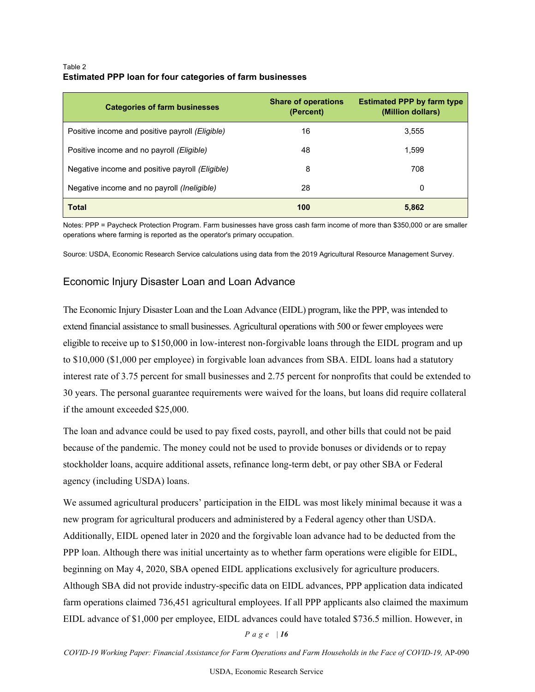#### Table 2 **Estimated PPP loan for four categories of farm businesses**

| <b>Categories of farm businesses</b>            | <b>Share of operations</b><br>(Percent) | <b>Estimated PPP by farm type</b><br>(Million dollars) |
|-------------------------------------------------|-----------------------------------------|--------------------------------------------------------|
| Positive income and positive payroll (Eligible) | 16                                      | 3,555                                                  |
| Positive income and no payroll (Eligible)       | 48                                      | 1,599                                                  |
| Negative income and positive payroll (Eligible) | 8                                       | 708                                                    |
| Negative income and no payroll (Ineligible)     | 28                                      | 0                                                      |
| <b>Total</b>                                    | 100                                     | 5,862                                                  |

Notes: PPP = Paycheck Protection Program. Farm businesses have gross cash farm income of more than \$350,000 or are smaller operations where farming is reported as the operator's primary occupation.

Source: USDA, Economic Research Service calculations using data from the 2019 Agricultural Resource Management Survey.

### Economic Injury Disaster Loan and Loan Advance

The Economic Injury Disaster Loan and the Loan Advance (EIDL) program, like the PPP, was intended to extend financial assistance to small businesses. Agricultural operations with 500 or fewer employees were eligible to receive up to \$150,000 in low-interest non-forgivable loans through the EIDL program and up to \$10,000 (\$1,000 per employee) in forgivable loan advances from SBA. EIDL loans had a statutory interest rate of 3.75 percent for small businesses and 2.75 percent for nonprofits that could be extended to 30 years. The personal guarantee requirements were waived for the loans, but loans did require collateral if the amount exceeded \$25,000.

The loan and advance could be used to pay fixed costs, payroll, and other bills that could not be paid because of the pandemic. The money could not be used to provide bonuses or dividends or to repay stockholder loans, acquire additional assets, refinance long-term debt, or pay other SBA or Federal agency (including USDA) loans.

We assumed agricultural producers' participation in the EIDL was most likely minimal because it was a new program for agricultural producers and administered by a Federal agency other than USDA. Additionally, EIDL opened later in 2020 and the forgivable loan advance had to be deducted from the PPP loan. Although there was initial uncertainty as to whether farm operations were eligible for EIDL, beginning on May 4, 2020, SBA opened EIDL applications exclusively for agriculture producers. Although SBA did not provide industry-specific data on EIDL advances, PPP application data indicated farm operations claimed 736,451 agricultural employees. If all PPP applicants also claimed the maximum EIDL advance of \$1,000 per employee, EIDL advances could have totaled \$736.5 million. However, in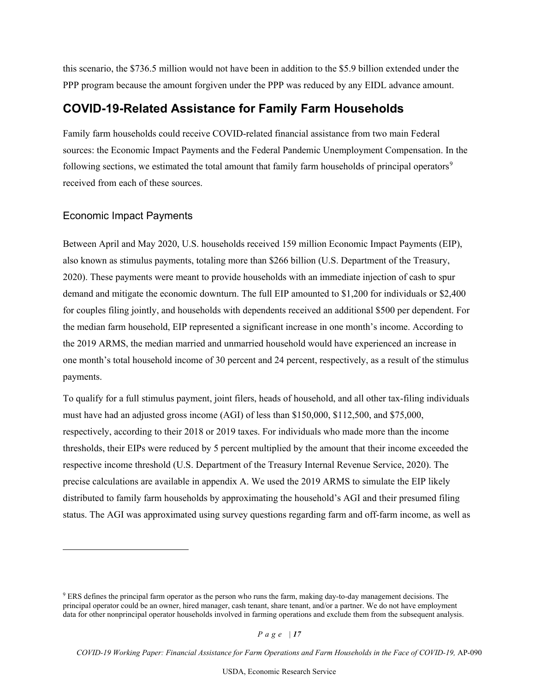this scenario, the \$736.5 million would not have been in addition to the \$5.9 billion extended under the PPP program because the amount forgiven under the PPP was reduced by any EIDL advance amount.

## <span id="page-16-0"></span>**COVID-19-Related Assistance for Family Farm Households**

Family farm households could receive COVID-related financial assistance from two main Federal sources: the Economic Impact Payments and the Federal Pandemic Unemployment Compensation. In the following sections, we estimated the total amount that family farm households of principal operators<sup>[9](#page-16-1)</sup> received from each of these sources.

#### Economic Impact Payments

Between April and May 2020, U.S. households received 159 million Economic Impact Payments (EIP), also known as stimulus payments, totaling more than \$266 billion (U.S. Department of the Treasury, 2020). These payments were meant to provide households with an immediate injection of cash to spur demand and mitigate the economic downturn. The full EIP amounted to \$1,200 for individuals or \$2,400 for couples filing jointly, and households with dependents received an additional \$500 per dependent. For the median farm household, EIP represented a significant increase in one month's income. According to the 2019 ARMS, the median married and unmarried household would have experienced an increase in one month's total household income of 30 percent and 24 percent, respectively, as a result of the stimulus payments.

To qualify for a full stimulus payment, joint filers, heads of household, and all other tax-filing individuals must have had an adjusted gross income (AGI) of less than \$150,000, \$112,500, and \$75,000, respectively, according to their 2018 or 2019 taxes. For individuals who made more than the income thresholds, their EIPs were reduced by 5 percent multiplied by the amount that their income exceeded the respective income threshold (U.S. Department of the Treasury Internal Revenue Service, 2020). The precise calculations are available in appendix A. We used the 2019 ARMS to simulate the EIP likely distributed to family farm households by approximating the household's AGI and their presumed filing status. The AGI was approximated using survey questions regarding farm and off-farm income, as well as

*Page | 17* 

<span id="page-16-1"></span><sup>9</sup> ERS defines the principal farm operator as the person who runs the farm, making day-to-day management decisions. The principal operator could be an owner, hired manager, cash tenant, share tenant, and/or a partner. We do not have employment data for other nonprincipal operator households involved in farming operations and exclude them from the subsequent analysis.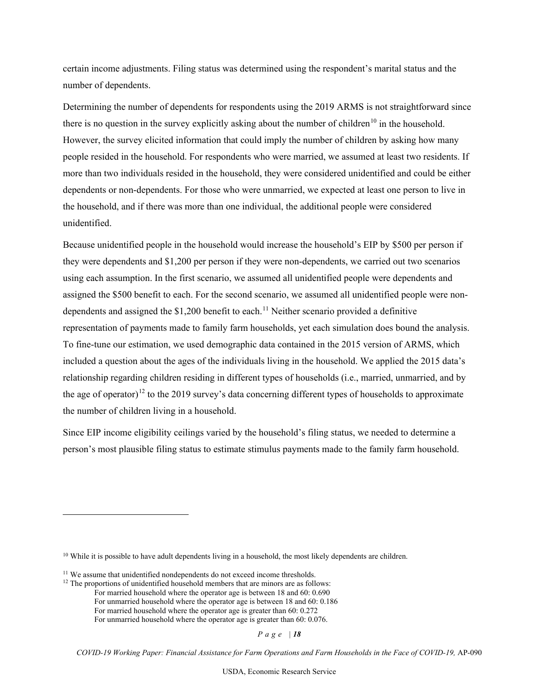certain income adjustments. Filing status was determined using the respondent's marital status and the number of dependents.

Determining the number of dependents for respondents using the 2019 ARMS is not straightforward since there is no question in the survey explicitly asking about the number of children<sup>[10](#page-17-0)</sup> in the household. However, the survey elicited information that could imply the number of children by asking how many people resided in the household. For respondents who were married, we assumed at least two residents. If more than two individuals resided in the household, they were considered unidentified and could be either dependents or non-dependents. For those who were unmarried, we expected at least one person to live in the household, and if there was more than one individual, the additional people were considered unidentified.

Because unidentified people in the household would increase the household's EIP by \$500 per person if they were dependents and \$1,200 per person if they were non-dependents, we carried out two scenarios using each assumption. In the first scenario, we assumed all unidentified people were dependents and assigned the \$500 benefit to each. For the second scenario, we assumed all unidentified people were nondependents and assigned the  $$1,200$  benefit to each.<sup>[11](#page-17-1)</sup> Neither scenario provided a definitive representation of payments made to family farm households, yet each simulation does bound the analysis. To fine-tune our estimation, we used demographic data contained in the 2015 version of ARMS, which included a question about the ages of the individuals living in the household. We applied the 2015 data's relationship regarding children residing in different types of households (i.e., married, unmarried, and by the age of operator)<sup>[12](#page-17-2)</sup> to the 2019 survey's data concerning different types of households to approximate the number of children living in a household.

Since EIP income eligibility ceilings varied by the household's filing status, we needed to determine a person's most plausible filing status to estimate stimulus payments made to the family farm household.

*Page | 18* 

<span id="page-17-0"></span> $10$  While it is possible to have adult dependents living in a household, the most likely dependents are children.

<span id="page-17-1"></span><sup>&</sup>lt;sup>11</sup> We assume that unidentified nondependents do not exceed income thresholds.

<span id="page-17-2"></span> $12$  The proportions of unidentified household members that are minors are as follows:

For married household where the operator age is between 18 and 60: 0.690

For unmarried household where the operator age is between 18 and 60: 0.186

For married household where the operator age is greater than 60: 0.272

For unmarried household where the operator age is greater than 60: 0.076.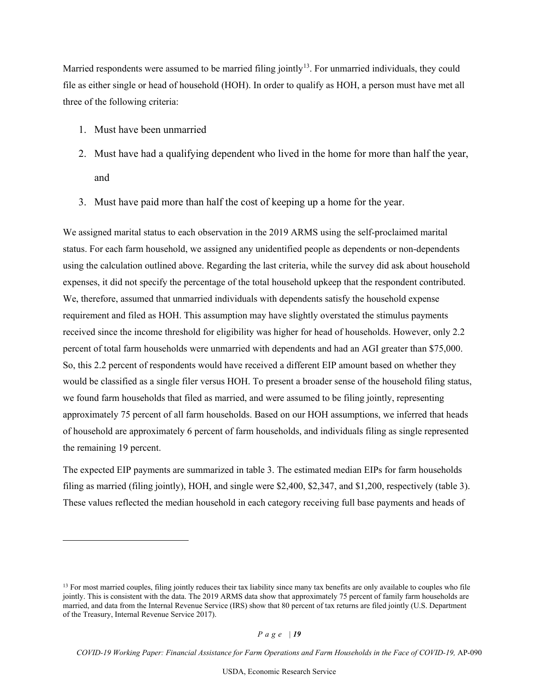Married respondents were assumed to be married filing jointly<sup>[13](#page-18-0)</sup>. For unmarried individuals, they could file as either single or head of household (HOH). In order to qualify as HOH, a person must have met all three of the following criteria:

- 1. Must have been unmarried
- 2. Must have had a qualifying dependent who lived in the home for more than half the year, and
- 3. Must have paid more than half the cost of keeping up a home for the year.

We assigned marital status to each observation in the 2019 ARMS using the self-proclaimed marital status. For each farm household, we assigned any unidentified people as dependents or non-dependents using the calculation outlined above. Regarding the last criteria, while the survey did ask about household expenses, it did not specify the percentage of the total household upkeep that the respondent contributed. We, therefore, assumed that unmarried individuals with dependents satisfy the household expense requirement and filed as HOH. This assumption may have slightly overstated the stimulus payments received since the income threshold for eligibility was higher for head of households. However, only 2.2 percent of total farm households were unmarried with dependents and had an AGI greater than \$75,000. So, this 2.2 percent of respondents would have received a different EIP amount based on whether they would be classified as a single filer versus HOH. To present a broader sense of the household filing status, we found farm households that filed as married, and were assumed to be filing jointly, representing approximately 75 percent of all farm households. Based on our HOH assumptions, we inferred that heads of household are approximately 6 percent of farm households, and individuals filing as single represented the remaining 19 percent.

The expected EIP payments are summarized in table 3. The estimated median EIPs for farm households filing as married (filing jointly), HOH, and single were \$2,400, \$2,347, and \$1,200, respectively (table 3). These values reflected the median household in each category receiving full base payments and heads of

<span id="page-18-0"></span><sup>&</sup>lt;sup>13</sup> For most married couples, filing jointly reduces their tax liability since many tax benefits are only available to couples who file jointly. This is consistent with the data. The 2019 ARMS data show that approximately 75 percent of family farm households are married, and data from the Internal Revenue Service (IRS) show that 80 percent of tax returns are filed jointly (U.S. Department of the Treasury, Internal Revenue Service 2017).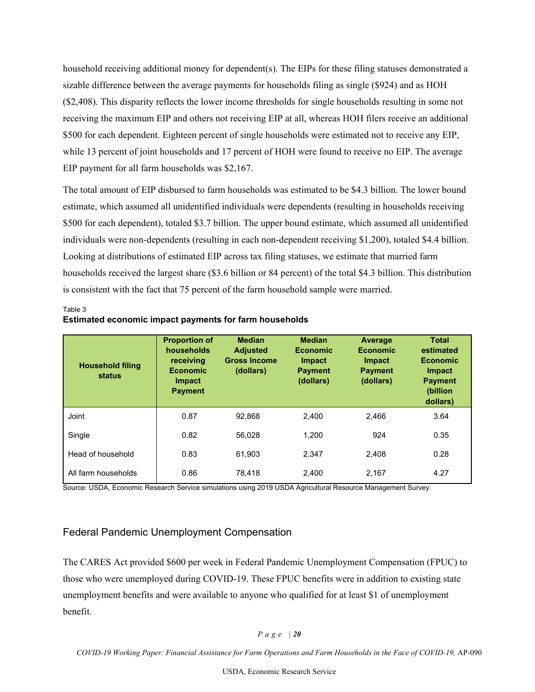household receiving additional money for dependent(s). The EIPs for these filing statuses demonstrated a sizable difference between the average payments for households filing as single (\$924) and as HOH (\$2,408). This disparity reflects the lower income thresholds for single households resulting in some not receiving the maximum EIP and others not receiving EIP at all, whereas HOH filers receive an additional \$500 for each dependent. Eighteen percent of single households were estimated not to receive any EIP, while 13 percent of joint households and 17 percent of HOH were found to receive no EIP. The average EIP payment for all farm households was \$2,167.

The total amount of EIP disbursed to farm households was estimated to be \$4.3 billion. The lower bound estimate, which assumed all unidentified individuals were dependents (resulting in households receiving \$500 for each dependent), totaled \$3.7 billion. The upper bound estimate, which assumed all unidentified individuals were non-dependents (resulting in each non-dependent receiving \$1,200), totaled \$4.4 billion. Looking at distributions of estimated EIP across tax filing statuses, we estimate that married farm households received the largest share (\$3.6 billion or 84 percent) of the total \$4.3 billion. This distribution is consistent with the fact that 75 percent of the farm household sample were married.

| <b>Household filing</b><br>status | <b>Proportion of</b><br>households<br>receiving<br><b>Economic</b><br><b>Impact</b><br><b>Payment</b> | <b>Median</b><br><b>Adjusted</b><br><b>Gross Income</b><br>(dollars) | <b>Median</b><br><b>Economic</b><br><b>Impact</b><br><b>Payment</b><br>(dollars) | Average<br><b>Economic</b><br><b>Impact</b><br><b>Payment</b><br>(dollars) | <b>Total</b><br>estimated<br><b>Economic</b><br><b>Impact</b><br><b>Payment</b><br>(billion<br>dollars) |
|-----------------------------------|-------------------------------------------------------------------------------------------------------|----------------------------------------------------------------------|----------------------------------------------------------------------------------|----------------------------------------------------------------------------|---------------------------------------------------------------------------------------------------------|
| <b>Joint</b>                      | 0.87                                                                                                  | 92.868                                                               | 2.400                                                                            | 2.466                                                                      | 3.64                                                                                                    |
| Single                            | 0.82                                                                                                  | 56.028                                                               | 1.200                                                                            | 924                                                                        | 0.35                                                                                                    |
| Head of household                 | 0.83                                                                                                  | 61.903                                                               | 2.347                                                                            | 2.408                                                                      | 0.28                                                                                                    |
| All farm households               | 0.86                                                                                                  | 78.418                                                               | 2.400                                                                            | 2.167                                                                      | 4.27                                                                                                    |

#### **Estimated economic impact payments for farm households**

Table 3

Source: USDA, Economic Research Service simulations using 2019 USDA Agricultural Resource Management Survey.

#### Federal Pandemic Unemployment Compensation

The CARES Act provided \$600 per week in Federal Pandemic Unemployment Compensation (FPUC) to those who were unemployed during COVID-19. These FPUC benefits were in addition to existing state unemployment benefits and were available to anyone who qualified for at least \$1 of unemployment benefit.

*Page | 20*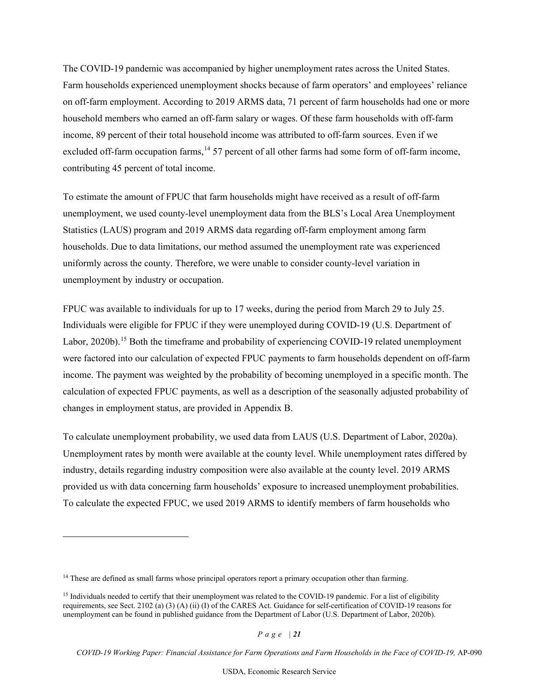The COVID-19 pandemic was accompanied by higher unemployment rates across the United States. Farm households experienced unemployment shocks because of farm operators' and employees' reliance on off-farm employment. According to 2019 ARMS data, 71 percent of farm households had one or more household members who earned an off-farm salary or wages. Of these farm households with off-farm income, 89 percent of their total household income was attributed to off-farm sources. Even if we excluded off-farm occupation farms, <sup>[14](#page-20-0)</sup> 57 percent of all other farms had some form of off-farm income, contributing 45 percent of total income.

To estimate the amount of FPUC that farm households might have received as a result of off-farm unemployment, we used county-level unemployment data from the BLS's Local Area Unemployment Statistics (LAUS) program and 2019 ARMS data regarding off-farm employment among farm households. Due to data limitations, our method assumed the unemployment rate was experienced uniformly across the county. Therefore, we were unable to consider county-level variation in unemployment by industry or occupation.

FPUC was available to individuals for up to 17 weeks, during the period from March 29 to July 25. Individuals were eligible for FPUC if they were unemployed during COVID-19 (U.S. Department of Labor, 2020b).<sup>[15](#page-20-1)</sup> Both the timeframe and probability of experiencing COVID-19 related unemployment were factored into our calculation of expected FPUC payments to farm households dependent on off-farm income. The payment was weighted by the probability of becoming unemployed in a specific month. The calculation of expected FPUC payments, as well as a description of the seasonally adjusted probability of changes in employment status, are provided in Appendix B.

To calculate unemployment probability, we used data from LAUS (U.S. Department of Labor, 2020a). Unemployment rates by month were available at the county level. While unemployment rates differed by industry, details regarding industry composition were also available at the county level. 2019 ARMS provided us with data concerning farm households' exposure to increased unemployment probabilities. To calculate the expected FPUC, we used 2019 ARMS to identify members of farm households who

<span id="page-20-0"></span><sup>&</sup>lt;sup>14</sup> These are defined as small farms whose principal operators report a primary occupation other than farming.

<span id="page-20-1"></span><sup>&</sup>lt;sup>15</sup> Individuals needed to certify that their unemployment was related to the COVID-19 pandemic. For a list of eligibility requirements, see Sect. 2102 (a) (3) (A) (ii) (I) of the CARES Act. Guidance for self-certification of COVID-19 reasons for unemployment can be found in published guidance from the Department of Labor (U.S. Department of Labor, 2020b).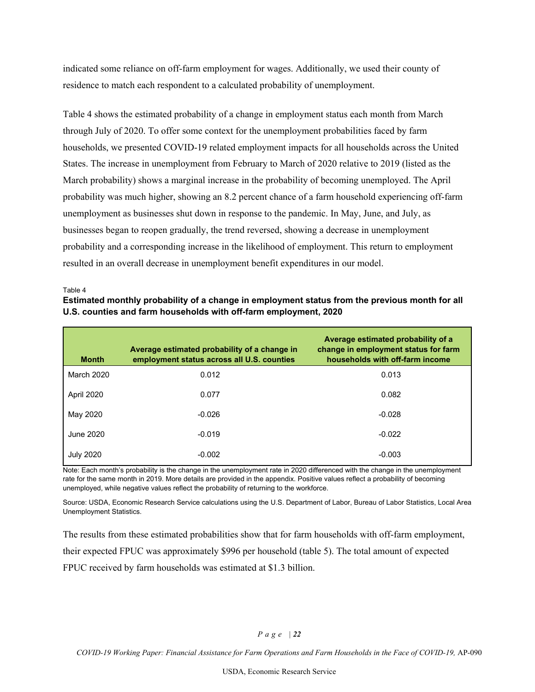indicated some reliance on off-farm employment for wages. Additionally, we used their county of residence to match each respondent to a calculated probability of unemployment.

Table 4 shows the estimated probability of a change in employment status each month from March through July of 2020. To offer some context for the unemployment probabilities faced by farm households, we presented COVID-19 related employment impacts for all households across the United States. The increase in unemployment from February to March of 2020 relative to 2019 (listed as the March probability) shows a marginal increase in the probability of becoming unemployed. The April probability was much higher, showing an 8.2 percent chance of a farm household experiencing off-farm unemployment as businesses shut down in response to the pandemic. In May, June, and July, as businesses began to reopen gradually, the trend reversed, showing a decrease in unemployment probability and a corresponding increase in the likelihood of employment. This return to employment resulted in an overall decrease in unemployment benefit expenditures in our model.

Table 4

### **Estimated monthly probability of a change in employment status from the previous month for all U.S. counties and farm households with off-farm employment, 2020**

| <b>Month</b>      | Average estimated probability of a change in<br>employment status across all U.S. counties | Average estimated probability of a<br>change in employment status for farm<br>households with off-farm income |
|-------------------|--------------------------------------------------------------------------------------------|---------------------------------------------------------------------------------------------------------------|
| <b>March 2020</b> | 0.012                                                                                      | 0.013                                                                                                         |
| April 2020        | 0.077                                                                                      | 0.082                                                                                                         |
| May 2020          | $-0.026$                                                                                   | $-0.028$                                                                                                      |
| June 2020         | $-0.019$                                                                                   | $-0.022$                                                                                                      |
| <b>July 2020</b>  | $-0.002$                                                                                   | $-0.003$                                                                                                      |

Note: Each month's probability is the change in the unemployment rate in 2020 differenced with the change in the unemployment rate for the same month in 2019. More details are provided in the appendix. Positive values reflect a probability of becoming unemployed, while negative values reflect the probability of returning to the workforce.

Source: USDA, Economic Research Service calculations using the U.S. Department of Labor, Bureau of Labor Statistics, Local Area Unemployment Statistics.

The results from these estimated probabilities show that for farm households with off-farm employment, their expected FPUC was approximately \$996 per household (table 5). The total amount of expected FPUC received by farm households was estimated at \$1.3 billion.

#### *Page | 22*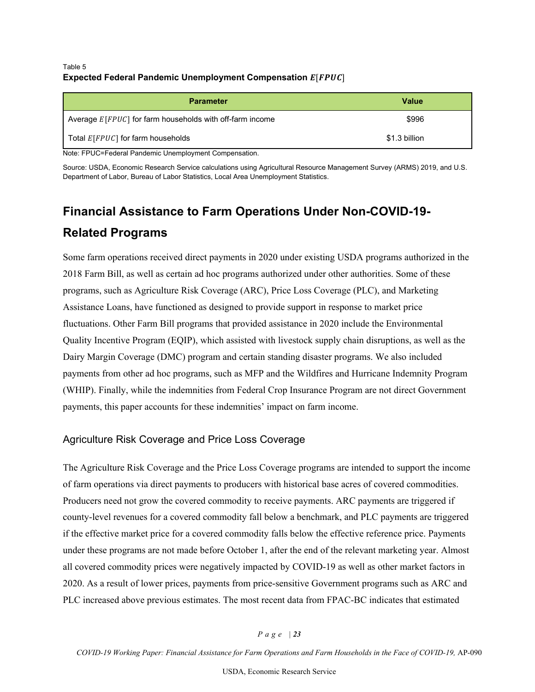#### Table 5 **Expected Federal Pandemic Unemployment Compensation**  $E[FPUC]$

| <b>Parameter</b>                                                | <b>Value</b>  |  |
|-----------------------------------------------------------------|---------------|--|
| Average $E$ [ $FPUC$ ] for farm households with off-farm income | \$996         |  |
| Total $E$ [ $FPUC$ ] for farm households                        | \$1.3 billion |  |
| Note: FPUC=Federal Pandemic Unemployment Compensation.          |               |  |

Source: USDA, Economic Research Service calculations using Agricultural Resource Management Survey (ARMS) 2019, and U.S. Department of Labor, Bureau of Labor Statistics, Local Area Unemployment Statistics.

# <span id="page-22-0"></span>**Financial Assistance to Farm Operations Under Non-COVID-19- Related Programs**

Some farm operations received direct payments in 2020 under existing USDA programs authorized in the 2018 Farm Bill, as well as certain ad hoc programs authorized under other authorities. Some of these programs, such as Agriculture Risk Coverage (ARC), Price Loss Coverage (PLC), and Marketing Assistance Loans, have functioned as designed to provide support in response to market price fluctuations. Other Farm Bill programs that provided assistance in 2020 include the Environmental Quality Incentive Program (EQIP), which assisted with livestock supply chain disruptions, as well as the Dairy Margin Coverage (DMC) program and certain standing disaster programs. We also included payments from other ad hoc programs, such as MFP and the Wildfires and Hurricane Indemnity Program (WHIP). Finally, while the indemnities from Federal Crop Insurance Program are not direct Government payments, this paper accounts for these indemnities' impact on farm income.

### Agriculture Risk Coverage and Price Loss Coverage

The Agriculture Risk Coverage and the Price Loss Coverage programs are intended to support the income of farm operations via direct payments to producers with historical base acres of covered commodities. Producers need not grow the covered commodity to receive payments. ARC payments are triggered if county-level revenues for a covered commodity fall below a benchmark, and PLC payments are triggered if the effective market price for a covered commodity falls below the effective reference price. Payments under these programs are not made before October 1, after the end of the relevant marketing year. Almost all covered commodity prices were negatively impacted by COVID-19 as well as other market factors in 2020. As a result of lower prices, payments from price-sensitive Government programs such as ARC and PLC increased above previous estimates. The most recent data from FPAC-BC indicates that estimated

#### *Page | 23*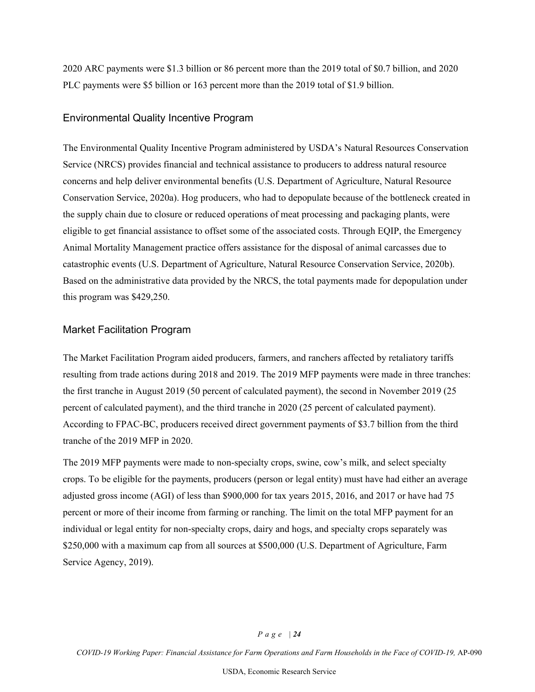2020 ARC payments were \$1.3 billion or 86 percent more than the 2019 total of \$0.7 billion, and 2020 PLC payments were \$5 billion or 163 percent more than the 2019 total of \$1.9 billion.

#### Environmental Quality Incentive Program

The Environmental Quality Incentive Program administered by USDA's Natural Resources Conservation Service (NRCS) provides financial and technical assistance to producers to address natural resource concerns and help deliver environmental benefits (U.S. Department of Agriculture, Natural Resource Conservation Service, 2020a). Hog producers, who had to depopulate because of the bottleneck created in the supply chain due to closure or reduced operations of meat processing and packaging plants, were eligible to get financial assistance to offset some of the associated costs. Through EQIP, the Emergency Animal Mortality Management practice offers assistance for the disposal of animal carcasses due to catastrophic events (U.S. Department of Agriculture, Natural Resource Conservation Service, 2020b). Based on the administrative data provided by the NRCS, the total payments made for depopulation under this program was \$429,250.

#### Market Facilitation Program

The Market Facilitation Program aided producers, farmers, and ranchers affected by retaliatory tariffs resulting from trade actions during 2018 and 2019. The 2019 MFP payments were made in three tranches: the first tranche in August 2019 (50 percent of calculated payment), the second in November 2019 (25 percent of calculated payment), and the third tranche in 2020 (25 percent of calculated payment). According to FPAC-BC, producers received direct government payments of \$3.7 billion from the third tranche of the 2019 MFP in 2020.

The 2019 MFP payments were made to non-specialty crops, swine, cow's milk, and select specialty crops. To be eligible for the payments, producers (person or legal entity) must have had either an average adjusted gross income (AGI) of less than \$900,000 for tax years 2015, 2016, and 2017 or have had 75 percent or more of their income from farming or ranching. The limit on the total MFP payment for an individual or legal entity for non-specialty crops, dairy and hogs, and specialty crops separately was \$250,000 with a maximum cap from all sources at \$500,000 (U.S. Department of Agriculture, Farm Service Agency, 2019).

#### *Page | 24*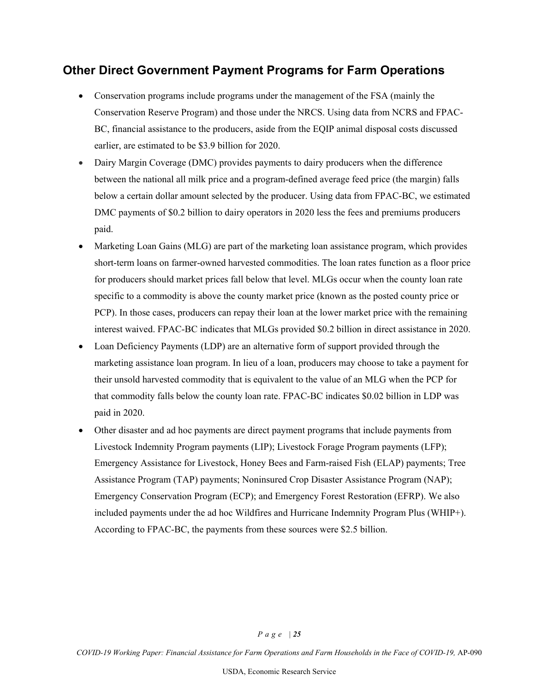## <span id="page-24-0"></span>**Other Direct Government Payment Programs for Farm Operations**

- Conservation programs include programs under the management of the FSA (mainly the Conservation Reserve Program) and those under the NRCS. Using data from NCRS and FPAC-BC, financial assistance to the producers, aside from the EQIP animal disposal costs discussed earlier, are estimated to be \$3.9 billion for 2020.
- Dairy Margin Coverage (DMC) provides payments to dairy producers when the difference between the national all milk price and a program-defined average feed price (the margin) falls below a certain dollar amount selected by the producer. Using data from FPAC-BC, we estimated DMC payments of \$0.2 billion to dairy operators in 2020 less the fees and premiums producers paid.
- Marketing Loan Gains (MLG) are part of the marketing loan assistance program, which provides short-term loans on farmer-owned harvested commodities. The loan rates function as a floor price for producers should market prices fall below that level. MLGs occur when the county loan rate specific to a commodity is above the county market price (known as the posted county price or PCP). In those cases, producers can repay their loan at the lower market price with the remaining interest waived. FPAC-BC indicates that MLGs provided \$0.2 billion in direct assistance in 2020.
- Loan Deficiency Payments (LDP) are an alternative form of support provided through the marketing assistance loan program. In lieu of a loan, producers may choose to take a payment for their unsold harvested commodity that is equivalent to the value of an MLG when the PCP for that commodity falls below the county loan rate. FPAC-BC indicates \$0.02 billion in LDP was paid in 2020.
- Other disaster and ad hoc payments are direct payment programs that include payments from Livestock Indemnity Program payments (LIP); Livestock Forage Program payments (LFP); Emergency Assistance for Livestock, Honey Bees and Farm-raised Fish (ELAP) payments; Tree Assistance Program (TAP) payments; Noninsured Crop Disaster Assistance Program (NAP); Emergency Conservation Program (ECP); and Emergency Forest Restoration (EFRP). We also included payments under the ad hoc Wildfires and Hurricane Indemnity Program Plus (WHIP+). According to FPAC-BC, the payments from these sources were \$2.5 billion.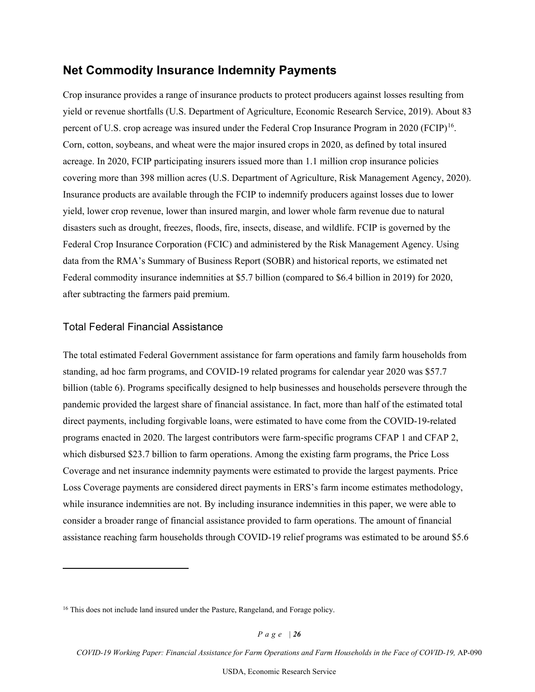## <span id="page-25-0"></span>**Net Commodity Insurance Indemnity Payments**

Crop insurance provides a range of insurance products to protect producers against losses resulting from yield or revenue shortfalls (U.S. Department of Agriculture, Economic Research Service, 2019). About 83 percent of U.S. crop acreage was insured under the Federal Crop Insurance Program in 2020 (FCIP)<sup>16</sup>. Corn, cotton, soybeans, and wheat were the major insured crops in 2020, as defined by total insured acreage. In 2020, FCIP participating insurers issued more than 1.1 million crop insurance policies covering more than 398 million acres (U.S. Department of Agriculture, Risk Management Agency, 2020). Insurance products are available through the FCIP to indemnify producers against losses due to lower yield, lower crop revenue, lower than insured margin, and lower whole farm revenue due to natural disasters such as drought, freezes, floods, fire, insects, disease, and wildlife. FCIP is governed by the Federal Crop Insurance Corporation (FCIC) and administered by the Risk Management Agency. Using data from the RMA's Summary of Business Report (SOBR) and historical reports, we estimated net Federal commodity insurance indemnities at \$5.7 billion (compared to \$6.4 billion in 2019) for 2020, after subtracting the farmers paid premium.

#### Total Federal Financial Assistance

The total estimated Federal Government assistance for farm operations and family farm households from standing, ad hoc farm programs, and COVID-19 related programs for calendar year 2020 was \$57.7 billion (table 6). Programs specifically designed to help businesses and households persevere through the pandemic provided the largest share of financial assistance. In fact, more than half of the estimated total direct payments, including forgivable loans, were estimated to have come from the COVID-19-related programs enacted in 2020. The largest contributors were farm-specific programs CFAP 1 and CFAP 2, which disbursed \$23.7 billion to farm operations. Among the existing farm programs, the Price Loss Coverage and net insurance indemnity payments were estimated to provide the largest payments. Price Loss Coverage payments are considered direct payments in ERS's farm income estimates methodology, while insurance indemnities are not. By including insurance indemnities in this paper, we were able to consider a broader range of financial assistance provided to farm operations. The amount of financial assistance reaching farm households through COVID-19 relief programs was estimated to be around \$5.6

<span id="page-25-1"></span><sup>&</sup>lt;sup>16</sup> This does not include land insured under the Pasture, Rangeland, and Forage policy.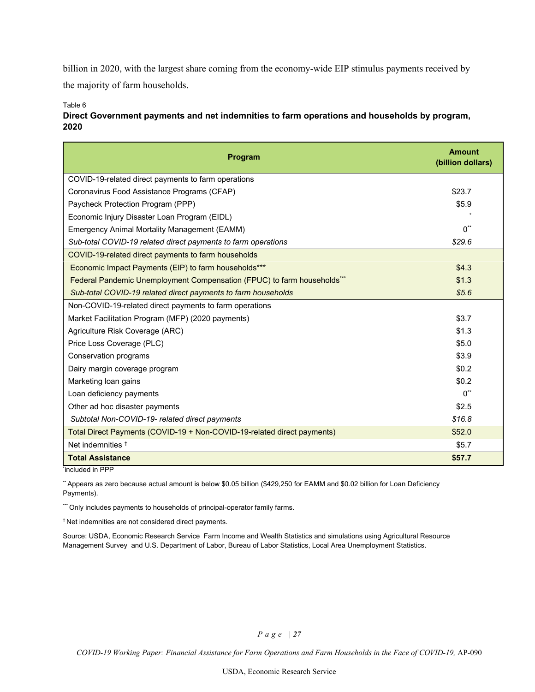billion in 2020, with the largest share coming from the economy-wide EIP stimulus payments received by the majority of farm households.

Table 6

| Direct Government payments and net indemnities to farm operations and households by program, |
|----------------------------------------------------------------------------------------------|
| 2020                                                                                         |

| Program                                                                 | <b>Amount</b><br>(billion dollars) |
|-------------------------------------------------------------------------|------------------------------------|
| COVID-19-related direct payments to farm operations                     |                                    |
| Coronavirus Food Assistance Programs (CFAP)                             | \$23.7                             |
| Paycheck Protection Program (PPP)                                       | \$5.9                              |
| Economic Injury Disaster Loan Program (EIDL)                            |                                    |
| Emergency Animal Mortality Management (EAMM)                            | $0^*$                              |
| Sub-total COVID-19 related direct payments to farm operations           | \$29.6                             |
| COVID-19-related direct payments to farm households                     |                                    |
| Economic Impact Payments (EIP) to farm households***                    | \$4.3                              |
| Federal Pandemic Unemployment Compensation (FPUC) to farm households*** | \$1.3                              |
| Sub-total COVID-19 related direct payments to farm households           | \$5.6                              |
| Non-COVID-19-related direct payments to farm operations                 |                                    |
| Market Facilitation Program (MFP) (2020 payments)                       | \$3.7                              |
| Agriculture Risk Coverage (ARC)                                         | \$1.3                              |
| Price Loss Coverage (PLC)                                               | \$5.0                              |
| Conservation programs                                                   | \$3.9                              |
| Dairy margin coverage program                                           | \$0.2                              |
| Marketing loan gains                                                    | \$0.2                              |
| Loan deficiency payments                                                | $0^{**}$                           |
| Other ad hoc disaster payments                                          | \$2.5                              |
| Subtotal Non-COVID-19- related direct payments                          | \$16.8                             |
| Total Direct Payments (COVID-19 + Non-COVID-19-related direct payments) | \$52.0                             |
| Net indemnities <sup>+</sup>                                            | \$5.7                              |
| <b>Total Assistance</b>                                                 | \$57.7                             |

\* included in PPP

\*\* Appears as zero because actual amount is below \$0.05 billion (\$429,250 for EAMM and \$0.02 billion for Loan Deficiency Payments).

\*\*\* Only includes payments to households of principal-operator family farms.

† Net indemnities are not considered direct payments.

Source: USDA, Economic Research Service Farm Income and Wealth Statistics and simulations using Agricultural Resource Management Survey and U.S. Department of Labor, Bureau of Labor Statistics, Local Area Unemployment Statistics.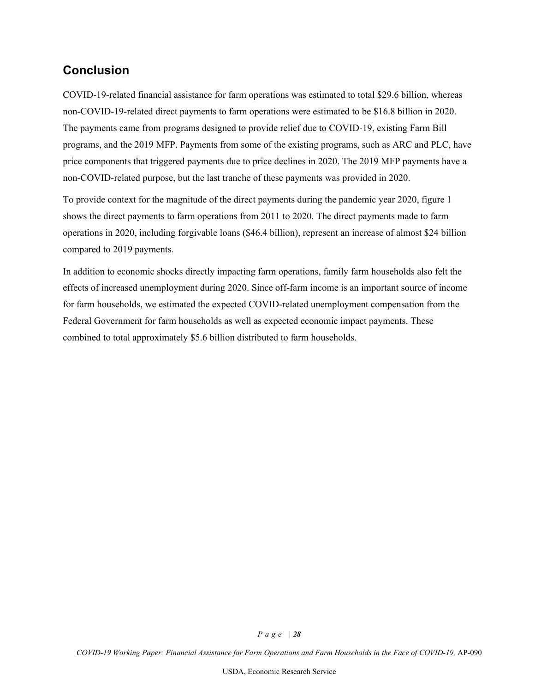# <span id="page-27-0"></span>**Conclusion**

COVID-19-related financial assistance for farm operations was estimated to total \$29.6 billion, whereas non-COVID-19-related direct payments to farm operations were estimated to be \$16.8 billion in 2020. The payments came from programs designed to provide relief due to COVID-19, existing Farm Bill programs, and the 2019 MFP. Payments from some of the existing programs, such as ARC and PLC, have price components that triggered payments due to price declines in 2020. The 2019 MFP payments have a non-COVID-related purpose, but the last tranche of these payments was provided in 2020.

To provide context for the magnitude of the direct payments during the pandemic year 2020, figure 1 shows the direct payments to farm operations from 2011 to 2020. The direct payments made to farm operations in 2020, including forgivable loans (\$46.4 billion), represent an increase of almost \$24 billion compared to 2019 payments.

In addition to economic shocks directly impacting farm operations, family farm households also felt the effects of increased unemployment during 2020. Since off-farm income is an important source of income for farm households, we estimated the expected COVID-related unemployment compensation from the Federal Government for farm households as well as expected economic impact payments. These combined to total approximately \$5.6 billion distributed to farm households.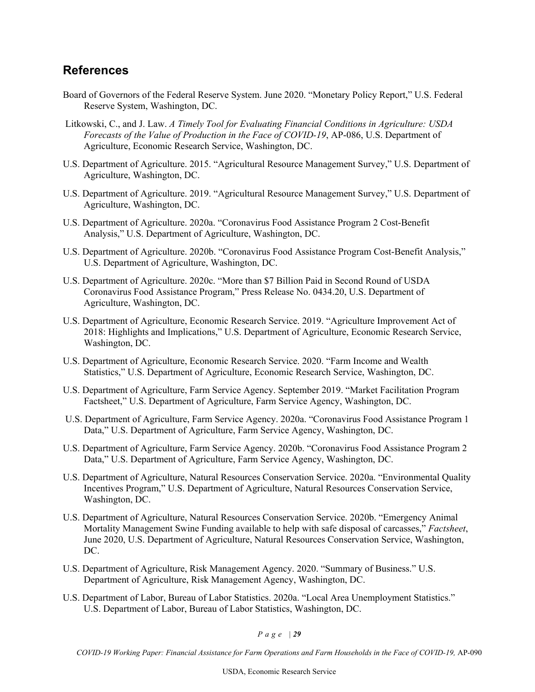## <span id="page-28-0"></span>**References**

- Board of Governors of the Federal Reserve System. June 2020. "Monetary Policy Report," U.S. Federal Reserve System, Washington, DC.
- Litkowski, C., and J. Law. *A Timely Tool for Evaluating Financial Conditions in Agriculture: USDA Forecasts of the Value of Production in the Face of COVID-19*, AP-086, U.S. Department of Agriculture, Economic Research Service, Washington, DC.
- U.S. Department of Agriculture. 2015. "Agricultural Resource Management Survey," U.S. Department of Agriculture, Washington, DC.
- U.S. Department of Agriculture. 2019. "Agricultural Resource Management Survey," U.S. Department of Agriculture, Washington, DC.
- U.S. Department of Agriculture. 2020a. "Coronavirus Food Assistance Program 2 Cost-Benefit Analysis," U.S. Department of Agriculture, Washington, DC.
- U.S. Department of Agriculture. 2020b. "Coronavirus Food Assistance Program Cost-Benefit Analysis," U.S. Department of Agriculture, Washington, DC.
- U.S. Department of Agriculture. 2020c. "More than \$7 Billion Paid in Second Round of USDA Coronavirus Food Assistance Program," Press Release No. 0434.20, U.S. Department of Agriculture, Washington, DC.
- U.S. Department of Agriculture, Economic Research Service. 2019. "Agriculture Improvement Act of 2018: Highlights and Implications," U.S. Department of Agriculture, Economic Research Service, Washington, DC.
- U.S. Department of Agriculture, Economic Research Service. 2020. "Farm Income and Wealth Statistics," U.S. Department of Agriculture, Economic Research Service, Washington, DC.
- U.S. Department of Agriculture, Farm Service Agency. September 2019. "Market Facilitation Program Factsheet," U.S. Department of Agriculture, Farm Service Agency, Washington, DC.
- U.S. Department of Agriculture, Farm Service Agency. 2020a. "Coronavirus Food Assistance Program 1 Data," U.S. Department of Agriculture, Farm Service Agency, Washington, DC.
- U.S. Department of Agriculture, Farm Service Agency. 2020b. "Coronavirus Food Assistance Program 2 Data," U.S. Department of Agriculture, Farm Service Agency, Washington, DC.
- U.S. Department of Agriculture, Natural Resources Conservation Service. 2020a. "Environmental Quality Incentives Program," U.S. Department of Agriculture, Natural Resources Conservation Service, Washington, DC.
- U.S. Department of Agriculture, Natural Resources Conservation Service. 2020b. "Emergency Animal Mortality Management Swine Funding available to help with safe disposal of carcasses," *Factsheet*, June 2020, U.S. Department of Agriculture, Natural Resources Conservation Service, Washington, DC.
- U.S. Department of Agriculture, Risk Management Agency. 2020. "Summary of Business." U.S. Department of Agriculture, Risk Management Agency, Washington, DC.
- U.S. Department of Labor, Bureau of Labor Statistics. 2020a. "Local Area Unemployment Statistics." U.S. Department of Labor, Bureau of Labor Statistics, Washington, DC.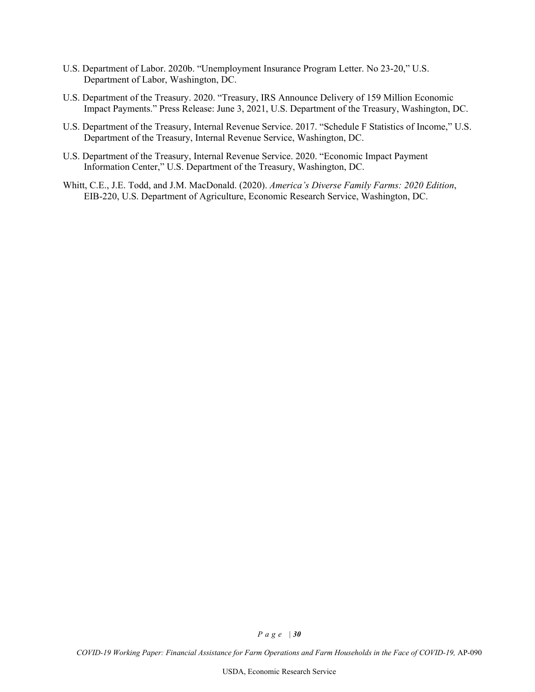- U.S. Department of Labor. 2020b. "Unemployment Insurance Program Letter. No 23-20," U.S. Department of Labor, Washington, DC.
- U.S. Department of the Treasury. 2020. "Treasury, IRS Announce Delivery of 159 Million Economic Impact Payments." Press Release: June 3, 2021, U.S. Department of the Treasury, Washington, DC.
- U.S. Department of the Treasury, Internal Revenue Service. 2017. "Schedule F Statistics of Income," U.S. Department of the Treasury, Internal Revenue Service, Washington, DC.
- U.S. Department of the Treasury, Internal Revenue Service. 2020. "Economic Impact Payment Information Center," U.S. Department of the Treasury, Washington, DC.
- Whitt, C.E., J.E. Todd, and J.M. MacDonald. (2020). *America's Diverse Family Farms: 2020 Edition*, EIB-220, U.S. Department of Agriculture, Economic Research Service, Washington, DC.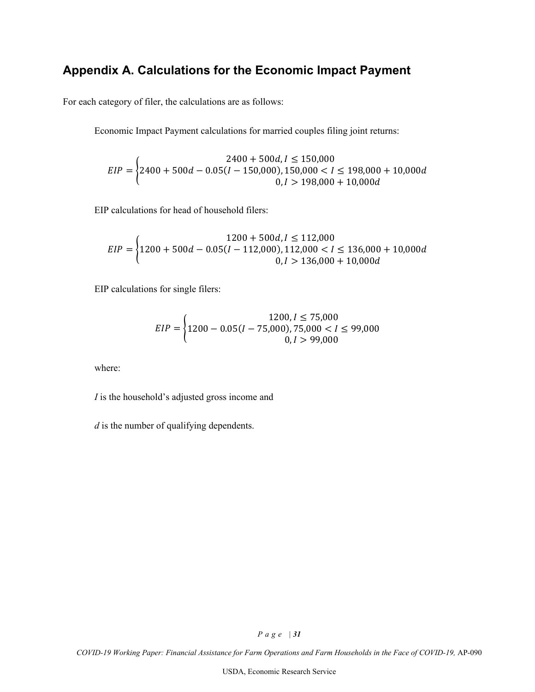# <span id="page-30-0"></span>**Appendix A. Calculations for the Economic Impact Payment**

For each category of filer, the calculations are as follows:

Economic Impact Payment calculations for married couples filing joint returns:

$$
EIP = \begin{cases} 2400 + 500d, I \le 150,000 \\ 2400 + 500d - 0.05(I - 150,000), 150,000 < I \le 198,000 + 10,000d \\ 0, I > 198,000 + 10,000d \end{cases}
$$

EIP calculations for head of household filers:

$$
EIP = \begin{cases} 1200 + 500d, I \le 112,000 \\ 1200 + 500d - 0.05(I - 112,000), 112,000 < I \le 136,000 + 10,000d \\ 0, I > 136,000 + 10,000d \end{cases}
$$

EIP calculations for single filers:

$$
EIP = \begin{cases} 1200, I \le 75,000 \\ 1200 - 0.05(I - 75,000), 75,000 < I \le 99,000 \\ 0, I > 99,000 \end{cases}
$$

where:

*I* is the household's adjusted gross income and

*d* is the number of qualifying dependents.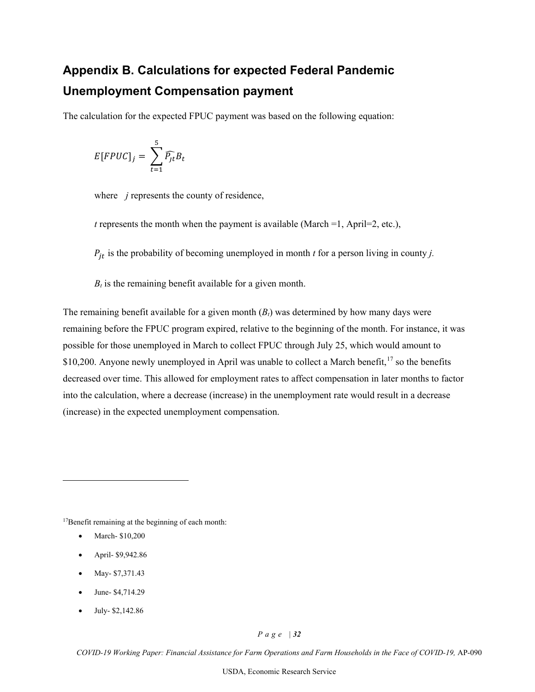# <span id="page-31-0"></span>**Appendix B. Calculations for expected Federal Pandemic Unemployment Compensation payment**

The calculation for the expected FPUC payment was based on the following equation:

$$
E[FPUC]_j = \sum_{t=1}^5 \widehat{P_{jt}} B_t
$$

where *j* represents the county of residence,

*t* represents the month when the payment is available (March  $=1$ , April $=2$ , etc.),

 $P_{jt}$  is the probability of becoming unemployed in month *t* for a person living in county *j*.

 $B_t$  is the remaining benefit available for a given month.

The remaining benefit available for a given month  $(B_t)$  was determined by how many days were remaining before the FPUC program expired, relative to the beginning of the month. For instance, it was possible for those unemployed in March to collect FPUC through July 25, which would amount to  $$10,200$ . Anyone newly unemployed in April was unable to collect a March benefit,<sup>[17](#page-31-1)</sup> so the benefits decreased over time. This allowed for employment rates to affect compensation in later months to factor into the calculation, where a decrease (increase) in the unemployment rate would result in a decrease (increase) in the expected unemployment compensation.

<span id="page-31-1"></span>17Benefit remaining at the beginning of each month:

- March- \$10,200
- April- \$9,942.86
- May- \$7,371.43
- June- \$4,714.29
- July- \$2,142.86